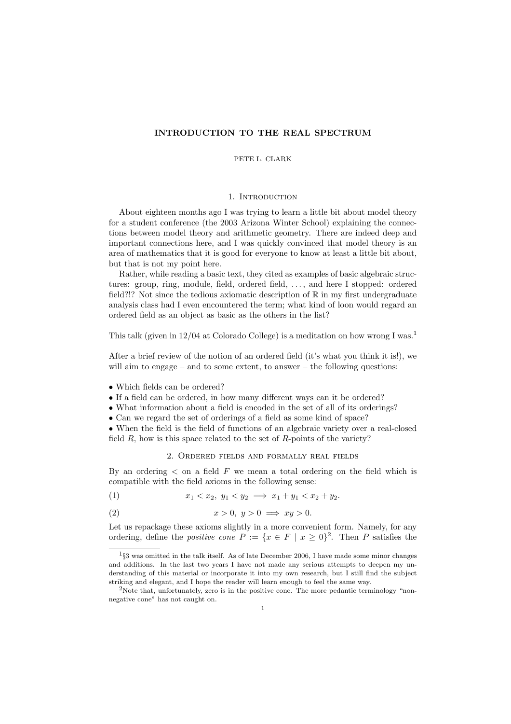# INTRODUCTION TO THE REAL SPECTRUM

## PETE L. CLARK

## 1. INTRODUCTION

About eighteen months ago I was trying to learn a little bit about model theory for a student conference (the 2003 Arizona Winter School) explaining the connections between model theory and arithmetic geometry. There are indeed deep and important connections here, and I was quickly convinced that model theory is an area of mathematics that it is good for everyone to know at least a little bit about, but that is not my point here.

Rather, while reading a basic text, they cited as examples of basic algebraic structures: group, ring, module, field, ordered field, . . . , and here I stopped: ordered field?!? Not since the tedious axiomatic description of  $\mathbb R$  in my first undergraduate analysis class had I even encountered the term; what kind of loon would regard an ordered field as an object as basic as the others in the list?

This talk (given in 12/04 at Colorado College) is a meditation on how wrong I was.<sup>1</sup>

After a brief review of the notion of an ordered field (it's what you think it is!), we will aim to engage – and to some extent, to answer – the following questions:

- Which fields can be ordered?
- If a field can be ordered, in how many different ways can it be ordered?

• What information about a field is encoded in the set of all of its orderings?

• Can we regard the set of orderings of a field as some kind of space?

• When the field is the field of functions of an algebraic variety over a real-closed field R, how is this space related to the set of R-points of the variety?

## 2. Ordered fields and formally real fields

By an ordering  $\lt$  on a field  $F$  we mean a total ordering on the field which is compatible with the field axioms in the following sense:

(1)  $x_1 < x_2, y_1 < y_2 \implies x_1 + y_1 < x_2 + y_2.$ 

$$
(2) \t\t x > 0, y > 0 \implies xy > 0.
$$

Let us repackage these axioms slightly in a more convenient form. Namely, for any ordering, define the *positive cone*  $P := \{x \in F \mid x \geq 0\}^2$ . Then P satisfies the

<sup>&</sup>lt;sup>1</sup>§3 was omitted in the talk itself. As of late December 2006, I have made some minor changes and additions. In the last two years I have not made any serious attempts to deepen my understanding of this material or incorporate it into my own research, but I still find the subject striking and elegant, and I hope the reader will learn enough to feel the same way.

<sup>&</sup>lt;sup>2</sup>Note that, unfortunately, zero is in the positive cone. The more pedantic terminology "nonnegative cone" has not caught on.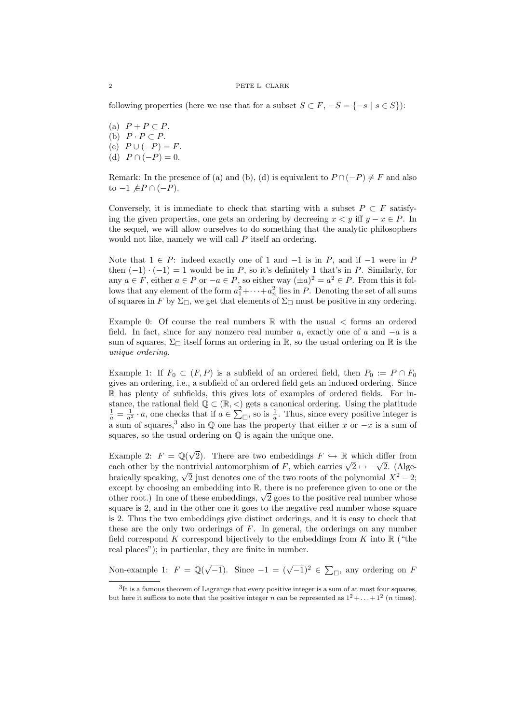#### 2 PETE L. CLARK

following properties (here we use that for a subset  $S \subset F$ ,  $-S = \{-s \mid s \in S\}$ ):

(a)  $P + P \subset P$ . (b)  $P \cdot P \subset P$ . (c)  $P \cup (-P) = F$ . (d)  $P \cap (-P) = 0.$ 

Remark: In the presence of (a) and (b), (d) is equivalent to  $P \cap (-P) \neq F$  and also to  $-1 \not\in P \cap (-P)$ .

Conversely, it is immediate to check that starting with a subset  $P \subset F$  satisfying the given properties, one gets an ordering by decreeing  $x < y$  iff  $y - x \in P$ . In the sequel, we will allow ourselves to do something that the analytic philosophers would not like, namely we will call P itself an ordering.

Note that  $1 \in P$ : indeed exactly one of 1 and  $-1$  is in P, and if  $-1$  were in P then  $(-1) \cdot (-1) = 1$  would be in P, so it's definitely 1 that's in P. Similarly, for any  $a \in F$ , either  $a \in P$  or  $-a \in P$ , so either way  $(\pm a)^2 = a^2 \in P$ . From this it follows that any element of the form  $a_1^2 + \cdots + a_n^2$  lies in P. Denoting the set of all sums of squares in F by  $\Sigma_{\Box}$ , we get that elements of  $\Sigma_{\Box}$  must be positive in any ordering.

Example 0: Of course the real numbers  $\mathbb R$  with the usual  $\lt$  forms an ordered field. In fact, since for any nonzero real number a, exactly one of a and  $-a$  is a sum of squares,  $\Sigma_{\Box}$  itself forms an ordering in R, so the usual ordering on R is the unique ordering.

Example 1: If  $F_0 \subset (F, P)$  is a subfield of an ordered field, then  $P_0 := P \cap F_0$ gives an ordering, i.e., a subfield of an ordered field gets an induced ordering. Since R has plenty of subfields, this gives lots of examples of ordered fields. For instance, the rational field  $\mathbb{Q} \subset (\mathbb{R}, \leq)$  gets a canonical ordering. Using the platitude  $\frac{1}{a} = \frac{1}{a^2} \cdot a$ , one checks that if  $a \in \sum_{\Box}$ , so is  $\frac{1}{a}$ . Thus, since every positive integer is a sum of squares,<sup>3</sup> also in  $\mathbb Q$  one has the property that either x or  $-x$  is a sum of squares, so the usual ordering on Q is again the unique one.

Example 2:  $F = \mathbb{Q}($ √ 2). There are two embeddings  $F \hookrightarrow \mathbb{R}$  which differ from Example 2:  $F = \mathbb{Q}(\sqrt{2})$ . There are two embeddings  $F \to \mathbb{R}$  which differ from each other by the nontrivial automorphism of F, which carries  $\sqrt{2} \mapsto -\sqrt{2}$ . (Algebraically speaking,  $\sqrt{2}$  just denotes one of the two roots of the polynomial  $X^2 - 2$ ; except by choosing an embedding into R, there is no preference given to one or the except by choosing an embedding into  $\mathbb{R}$ , there is no preference given to one or the other root.) In one of these embeddings,  $\sqrt{2}$  goes to the positive real number whose square is 2, and in the other one it goes to the negative real number whose square is 2. Thus the two embeddings give distinct orderings, and it is easy to check that these are the only two orderings of F. In general, the orderings on any number field correspond K correspond bijectively to the embeddings from K into  $\mathbb R$  ("the real places"); in particular, they are finite in number.

Non-example 1:  $F = \mathbb{Q}(\sqrt{-1})$ . Since  $-1 = (\sqrt{-1})^2 \in \sum_{\Box}$ , any ordering on F

 ${}^{3}$ It is a famous theorem of Lagrange that every positive integer is a sum of at most four squares, but here it suffices to note that the positive integer n can be represented as  $1^2 + ... + 1^2$  (n times).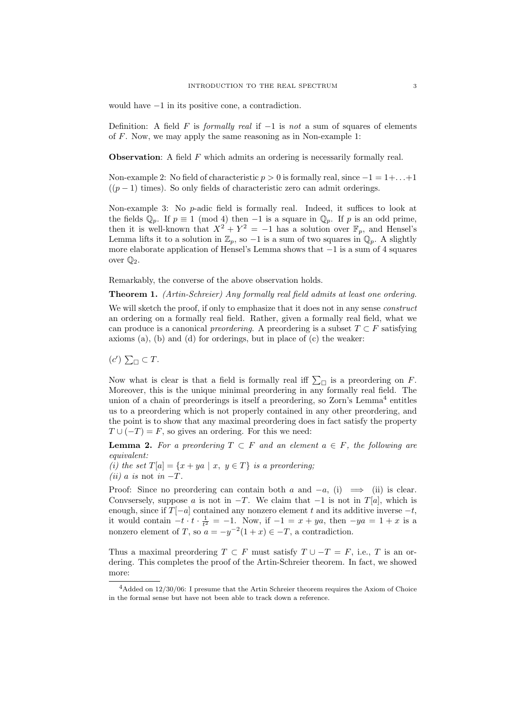would have −1 in its positive cone, a contradiction.

Definition: A field F is formally real if  $-1$  is not a sum of squares of elements of F. Now, we may apply the same reasoning as in Non-example 1:

**Observation:** A field  $F$  which admits an ordering is necessarily formally real.

Non-example 2: No field of characteristic  $p > 0$  is formally real, since  $-1 = 1 + ... + 1$  $((p-1)$  times). So only fields of characteristic zero can admit orderings.

Non-example 3: No p-adic field is formally real. Indeed, it suffices to look at the fields  $\mathbb{Q}_p$ . If  $p \equiv 1 \pmod{4}$  then -1 is a square in  $\mathbb{Q}_p$ . If p is an odd prime, then it is well-known that  $X^2 + Y^2 = -1$  has a solution over  $\mathbb{F}_p$ , and Hensel's Lemma lifts it to a solution in  $\mathbb{Z}_p$ , so -1 is a sum of two squares in  $\mathbb{Q}_p$ . A slightly more elaborate application of Hensel's Lemma shows that −1 is a sum of 4 squares over  $\mathbb{O}_2$ .

Remarkably, the converse of the above observation holds.

Theorem 1. (Artin-Schreier) Any formally real field admits at least one ordering.

We will sketch the proof, if only to emphasize that it does not in any sense *construct* an ordering on a formally real field. Rather, given a formally real field, what we can produce is a canonical preordering. A preordering is a subset  $T \subset F$  satisfying axioms (a), (b) and (d) for orderings, but in place of (c) the weaker:

 $(c')$   $\sum_{\square} \subset T$ .

Now what is clear is that a field is formally real iff  $\sum_{\square}$  is a preordering on F. Moreover, this is the unique minimal preordering in any formally real field. The union of a chain of preorderings is itself a preordering, so  $\rm Zorn's \ Lemma<sup>4</sup>$  entitles us to a preordering which is not properly contained in any other preordering, and the point is to show that any maximal preordering does in fact satisfy the property  $T \cup (-T) = F$ , so gives an ordering. For this we need:

**Lemma 2.** For a preordering  $T \subset F$  and an element  $a \in F$ , the following are equivalent:

(i) the set  $T[a] = \{x + ya \mid x, y \in T\}$  is a preordering;

(ii) a is not in  $-\overline{T}$ .

Proof: Since no preordering can contain both a and  $-a$ , (i)  $\implies$  (ii) is clear. Convsersely, suppose a is not in  $-T$ . We claim that  $-1$  is not in  $T[a]$ , which is enough, since if  $T[-a]$  contained any nonzero element t and its additive inverse  $-t$ , it would contain  $-t \cdot t \cdot \frac{1}{t^2} = -1$ . Now, if  $-1 = x + ya$ , then  $-ya = 1 + x$  is a nonzero element of T, so  $a = -y^{-2}(1+x) \in -T$ , a contradiction.

Thus a maximal preordering  $T \subset F$  must satisfy  $T \cup T = F$ , i.e., T is an ordering. This completes the proof of the Artin-Schreier theorem. In fact, we showed more:

<sup>&</sup>lt;sup>4</sup>Added on 12/30/06: I presume that the Artin Schreier theorem requires the Axiom of Choice in the formal sense but have not been able to track down a reference.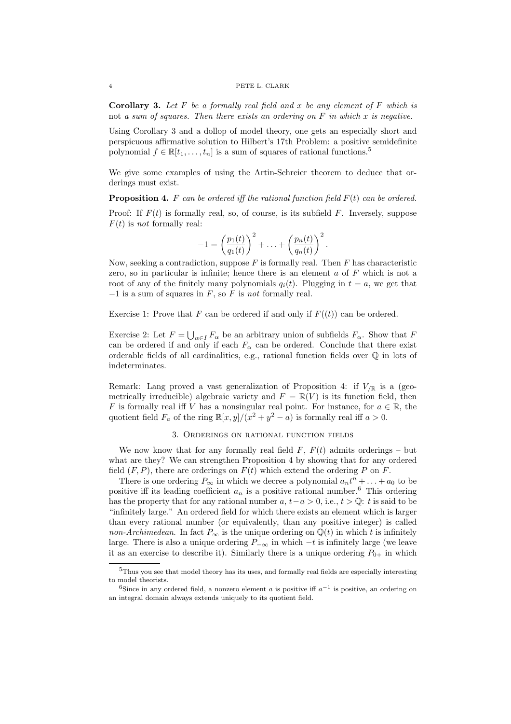**Corollary 3.** Let F be a formally real field and x be any element of F which is not a sum of squares. Then there exists an ordering on  $F$  in which x is negative.

Using Corollary 3 and a dollop of model theory, one gets an especially short and perspicuous affirmative solution to Hilbert's 17th Problem: a positive semidefinite polynomial  $f \in \mathbb{R}[t_1,\ldots,t_n]$  is a sum of squares of rational functions.<sup>5</sup>

We give some examples of using the Artin-Schreier theorem to deduce that orderings must exist.

**Proposition 4.** F can be ordered iff the rational function field  $F(t)$  can be ordered.

Proof: If  $F(t)$  is formally real, so, of course, is its subfield F. Inversely, suppose  $F(t)$  is not formally real:

$$
-1 = \left(\frac{p_1(t)}{q_1(t)}\right)^2 + \ldots + \left(\frac{p_n(t)}{q_n(t)}\right)^2.
$$

Now, seeking a contradiction, suppose  $F$  is formally real. Then  $F$  has characteristic zero, so in particular is infinite; hence there is an element  $a$  of  $F$  which is not a root of any of the finitely many polynomials  $q_i(t)$ . Plugging in  $t = a$ , we get that  $-1$  is a sum of squares in F, so F is not formally real.

Exercise 1: Prove that F can be ordered if and only if  $F((t))$  can be ordered.

Exercise 2: Let  $F = \bigcup_{\alpha \in I} F_{\alpha}$  be an arbitrary union of subfields  $F_{\alpha}$ . Show that F can be ordered if and only if each  $F_{\alpha}$  can be ordered. Conclude that there exist orderable fields of all cardinalities, e.g., rational function fields over  $\mathbb Q$  in lots of indeterminates.

Remark: Lang proved a vast generalization of Proposition 4: if  $V_{\text{R}}$  is a (geometrically irreducible) algebraic variety and  $F = \mathbb{R}(V)$  is its function field, then F is formally real iff V has a nonsingular real point. For instance, for  $a \in \mathbb{R}$ , the quotient field  $F_a$  of the ring  $\mathbb{R}[x, y]/(x^2 + y^2 - a)$  is formally real iff  $a > 0$ .

## 3. Orderings on rational function fields

We now know that for any formally real field  $F$ ,  $F(t)$  admits orderings – but what are they? We can strengthen Proposition 4 by showing that for any ordered field  $(F, P)$ , there are orderings on  $F(t)$  which extend the ordering P on F.

There is one ordering  $P_{\infty}$  in which we decree a polynomial  $a_n t^n + \ldots + a_0$  to be positive iff its leading coefficient  $a_n$  is a positive rational number.<sup>6</sup> This ordering has the property that for any rational number  $a, t-a > 0$ , i.e.,  $t > \mathbb{Q}$ : t is said to be "infinitely large." An ordered field for which there exists an element which is larger than every rational number (or equivalently, than any positive integer) is called non-Archimedean. In fact  $P_{\infty}$  is the unique ordering on  $\mathbb{Q}(t)$  in which t is infinitely large. There is also a unique ordering  $P_{-\infty}$  in which  $-t$  is infinitely large (we leave it as an exercise to describe it). Similarly there is a unique ordering  $P_{0+}$  in which

<sup>5</sup>Thus you see that model theory has its uses, and formally real fields are especially interesting to model theorists.

<sup>&</sup>lt;sup>6</sup>Since in any ordered field, a nonzero element a is positive iff  $a^{-1}$  is positive, an ordering on an integral domain always extends uniquely to its quotient field.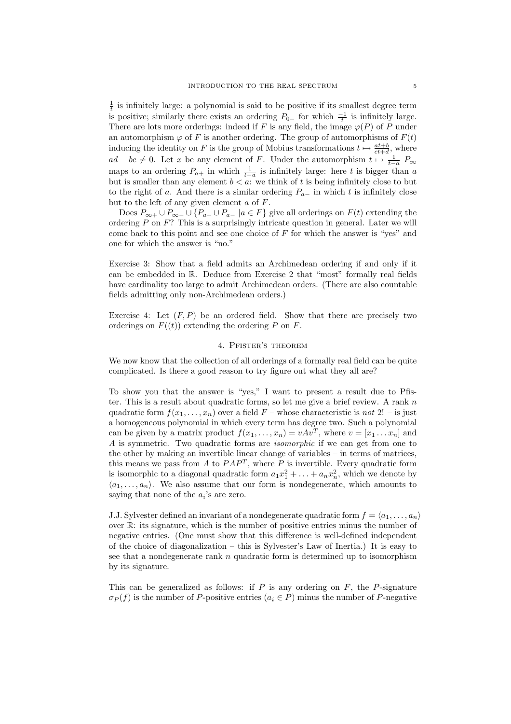$\frac{1}{t}$  is infinitely large: a polynomial is said to be positive if its smallest degree term is positive; similarly there exists an ordering  $P_{0-}$  for which  $\frac{-1}{t}$  is infinitely large. There are lots more orderings: indeed if F is any field, the image  $\varphi(P)$  of P under an automorphism  $\varphi$  of F is another ordering. The group of automorphisms of  $F(t)$ inducing the identity on F is the group of Mobius transformations  $t \mapsto \frac{at+b}{ct+d}$ , where  $ad - bc \neq 0$ . Let x be any element of F. Under the automorphism  $t \mapsto \frac{1}{t-a} P_{\infty}$ maps to an ordering  $P_{a+}$  in which  $\frac{1}{t-a}$  is infinitely large: here t is bigger than a but is smaller than any element  $b < a$ : we think of t is being infinitely close to but to the right of a. And there is a similar ordering  $P_{a-}$  in which t is infinitely close but to the left of any given element  $a$  of  $F$ .

Does  $P_{\infty+} \cup P_{\infty-} \cup \{P_{a+} \cup P_{a-} \mid a \in F\}$  give all orderings on  $F(t)$  extending the ordering  $P$  on  $F$ ? This is a surprisingly intricate question in general. Later we will come back to this point and see one choice of  $F$  for which the answer is "yes" and one for which the answer is "no."

Exercise 3: Show that a field admits an Archimedean ordering if and only if it can be embedded in R. Deduce from Exercise 2 that "most" formally real fields have cardinality too large to admit Archimedean orders. (There are also countable fields admitting only non-Archimedean orders.)

Exercise 4: Let  $(F, P)$  be an ordered field. Show that there are precisely two orderings on  $F((t))$  extending the ordering P on F.

#### 4. Pfister's theorem

We now know that the collection of all orderings of a formally real field can be quite complicated. Is there a good reason to try figure out what they all are?

To show you that the answer is "yes," I want to present a result due to Pfister. This is a result about quadratic forms, so let me give a brief review. A rank  $n$ quadratic form  $f(x_1, \ldots, x_n)$  over a field  $F$  – whose characteristic is not 2! – is just a homogeneous polynomial in which every term has degree two. Such a polynomial can be given by a matrix product  $f(x_1, \ldots, x_n) = vAv^T$ , where  $v = [x_1 \ldots x_n]$  and A is symmetric. Two quadratic forms are isomorphic if we can get from one to the other by making an invertible linear change of variables – in terms of matrices, this means we pass from A to  $PAP<sup>T</sup>$ , where P is invertible. Every quadratic form is isomorphic to a diagonal quadratic form  $a_1x_1^2 + \ldots + a_nx_n^2$ , which we denote by  $\langle a_1, \ldots, a_n \rangle$ . We also assume that our form is nondegenerate, which amounts to saying that none of the  $a_i$ 's are zero.

J.J. Sylvester defined an invariant of a nondegenerate quadratic form  $f = \langle a_1, \ldots, a_n \rangle$ over R: its signature, which is the number of positive entries minus the number of negative entries. (One must show that this difference is well-defined independent of the choice of diagonalization – this is Sylvester's Law of Inertia.) It is easy to see that a nondegenerate rank  $n$  quadratic form is determined up to isomorphism by its signature.

This can be generalized as follows: if  $P$  is any ordering on  $F$ , the  $P$ -signature  $\sigma_P(f)$  is the number of P-positive entries  $(a_i \in P)$  minus the number of P-negative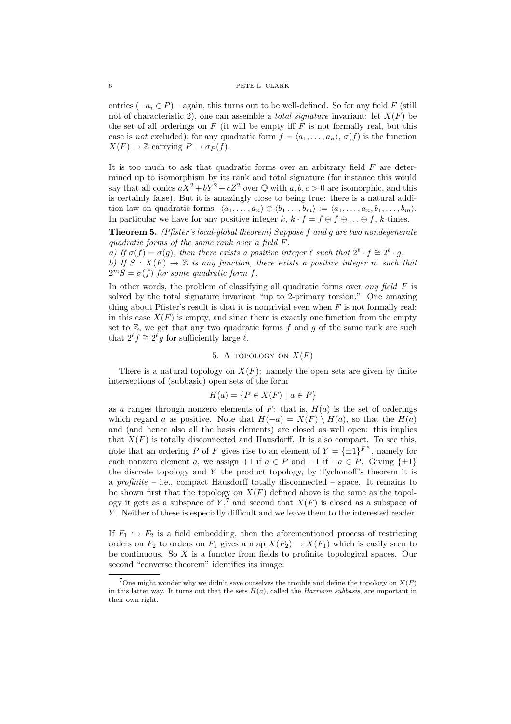entries  $(-a_i \in P)$  – again, this turns out to be well-defined. So for any field F (still not of characteristic 2), one can assemble a *total signature* invariant: let  $X(F)$  be the set of all orderings on  $F$  (it will be empty iff  $F$  is not formally real, but this case is not excluded); for any quadratic form  $f = \langle a_1, \ldots, a_n \rangle$ ,  $\sigma(f)$  is the function  $X(F) \mapsto \mathbb{Z}$  carrying  $P \mapsto \sigma_P(f)$ .

It is too much to ask that quadratic forms over an arbitrary field  $F$  are determined up to isomorphism by its rank and total signature (for instance this would say that all conics  $aX^2 + bY^2 + cZ^2$  over  $\mathbb Q$  with  $a, b, c > 0$  are isomorphic, and this is certainly false). But it is amazingly close to being true: there is a natural addition law on quadratic forms:  $\langle a_1, \ldots, a_n \rangle \oplus \langle b_1 \ldots, b_m \rangle := \langle a_1, \ldots, a_n, b_1, \ldots, b_m \rangle$ . In particular we have for any positive integer k,  $k \cdot f = f \oplus f \oplus \ldots \oplus f$ , k times.

Theorem 5. (Pfister's local-global theorem) Suppose f and g are two nondegenerate quadratic forms of the same rank over a field F.

a) If  $\sigma(f) = \sigma(g)$ , then there exists a positive integer  $\ell$  such that  $2^{\ell} \cdot f \cong 2^{\ell} \cdot g$ . b) If  $S: X(F) \to \mathbb{Z}$  is any function, there exists a positive integer m such that  $2^mS = \sigma(f)$  for some quadratic form f.

In other words, the problem of classifying all quadratic forms over *any field*  $F$  is solved by the total signature invariant "up to 2-primary torsion." One amazing thing about Pfister's result is that it is nontrivial even when  $F$  is not formally real: in this case  $X(F)$  is empty, and since there is exactly one function from the empty set to  $\mathbb{Z}$ , we get that any two quadratic forms f and g of the same rank are such that  $2^{\ell} f \cong 2^{\ell} g$  for sufficiently large  $\ell$ .

# 5. A TOPOLOGY ON  $X(F)$

There is a natural topology on  $X(F)$ : namely the open sets are given by finite intersections of (subbasic) open sets of the form

$$
H(a) = \{ P \in X(F) \mid a \in P \}
$$

as a ranges through nonzero elements of  $F$ : that is,  $H(a)$  is the set of orderings which regard a as positive. Note that  $H(-a) = X(F) \setminus H(a)$ , so that the  $H(a)$ and (and hence also all the basis elements) are closed as well open: this implies that  $X(F)$  is totally disconnected and Hausdorff. It is also compact. To see this, note that an ordering P of F gives rise to an element of  $Y = {\pm 1}^F$ , namely for each nonzero element a, we assign +1 if  $a \in P$  and  $-1$  if  $-a \in P$ . Giving  $\{\pm 1\}$ the discrete topology and  $Y$  the product topology, by Tychonoff's theorem it is a profinite – i.e., compact Hausdorff totally disconnected – space. It remains to be shown first that the topology on  $X(F)$  defined above is the same as the topology it gets as a subspace of  $Y<sub>1</sub><sup>7</sup>$  and second that  $X(F)$  is closed as a subspace of Y. Neither of these is especially difficult and we leave them to the interested reader.

If  $F_1 \hookrightarrow F_2$  is a field embedding, then the aforementioned process of restricting orders on  $F_2$  to orders on  $F_1$  gives a map  $X(F_2) \to X(F_1)$  which is easily seen to be continuous. So  $X$  is a functor from fields to profinite topological spaces. Our second "converse theorem" identifies its image:

<sup>&</sup>lt;sup>7</sup>One might wonder why we didn't save ourselves the trouble and define the topology on  $X(F)$ in this latter way. It turns out that the sets  $H(a)$ , called the *Harrison subbasis*, are important in their own right.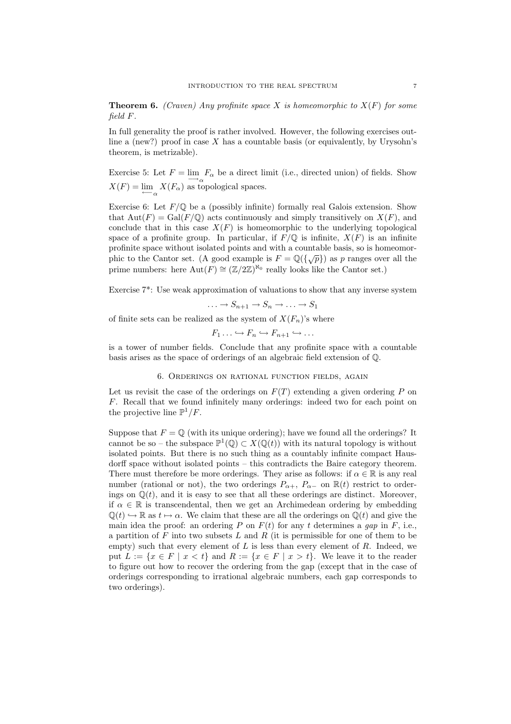**Theorem 6.** (Craven) Any profinite space X is homeomorphic to  $X(F)$  for some field F.

In full generality the proof is rather involved. However, the following exercises outline a (new?) proof in case  $X$  has a countable basis (or equivalently, by Urysohn's theorem, is metrizable).

Exercise 5: Let  $F = \lim_{\alpha} F_{\alpha}$  be a direct limit (i.e., directed union) of fields. Show  $X(F) = \lim_{\substack{\longleftarrow}} X(F_{\alpha})$  as topological spaces.

Exercise 6: Let  $F/\mathbb{Q}$  be a (possibly infinite) formally real Galois extension. Show that  $Aut(F) = Gal(F/\mathbb{Q})$  acts continuously and simply transitively on  $X(F)$ , and conclude that in this case  $X(F)$  is homeomorphic to the underlying topological space of a profinite group. In particular, if  $F/\mathbb{Q}$  is infinite,  $X(F)$  is an infinite profinite space without isolated points and with a countable basis, so is homeomorphonometer space without isolated points and with a countable basis, so is noneonlo-<br>phic to the Cantor set. (A good example is  $F = \mathbb{Q}(\{\sqrt{p}\})$  as p ranges over all the prime numbers: here  $\text{Aut}(F) \cong (\mathbb{Z}/2\mathbb{Z})^{\aleph_0}$  really looks like the Cantor set.)

Exercise 7\*: Use weak approximation of valuations to show that any inverse system

$$
\ldots \to S_{n+1} \to S_n \to \ldots \to S_1
$$

of finite sets can be realized as the system of  $X(F_n)$ 's where

$$
F_1 \ldots \hookrightarrow F_n \hookrightarrow F_{n+1} \hookrightarrow \ldots
$$

is a tower of number fields. Conclude that any profinite space with a countable basis arises as the space of orderings of an algebraic field extension of Q.

### 6. Orderings on rational function fields, again

Let us revisit the case of the orderings on  $F(T)$  extending a given ordering P on F. Recall that we found infinitely many orderings: indeed two for each point on the projective line  $\mathbb{P}^1/F$ .

Suppose that  $F = \mathbb{Q}$  (with its unique ordering); have we found all the orderings? It cannot be so – the subspace  $\mathbb{P}^1(\mathbb{Q}) \subset X(\mathbb{Q}(t))$  with its natural topology is without isolated points. But there is no such thing as a countably infinite compact Hausdorff space without isolated points – this contradicts the Baire category theorem. There must therefore be more orderings. They arise as follows: if  $\alpha \in \mathbb{R}$  is any real number (rational or not), the two orderings  $P_{\alpha+}$ ,  $P_{\alpha-}$  on  $\mathbb{R}(t)$  restrict to orderings on  $\mathbb{Q}(t)$ , and it is easy to see that all these orderings are distinct. Moreover, if  $\alpha \in \mathbb{R}$  is transcendental, then we get an Archimedean ordering by embedding  $\mathbb{Q}(t) \hookrightarrow \mathbb{R}$  as  $t \mapsto \alpha$ . We claim that these are all the orderings on  $\mathbb{Q}(t)$  and give the main idea the proof: an ordering P on  $F(t)$  for any t determines a gap in F, i.e., a partition of F into two subsets L and R (it is permissible for one of them to be empty) such that every element of  $L$  is less than every element of  $R$ . Indeed, we put  $L := \{x \in F \mid x < t\}$  and  $R := \{x \in F \mid x > t\}$ . We leave it to the reader to figure out how to recover the ordering from the gap (except that in the case of orderings corresponding to irrational algebraic numbers, each gap corresponds to two orderings).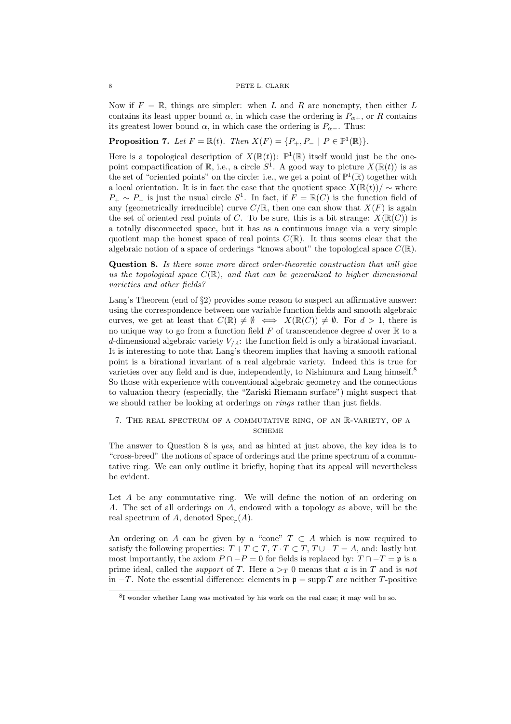Now if  $F = \mathbb{R}$ , things are simpler: when L and R are nonempty, then either L contains its least upper bound  $\alpha$ , in which case the ordering is  $P_{\alpha+}$ , or R contains its greatest lower bound  $\alpha$ , in which case the ordering is  $P_{\alpha-}$ . Thus:

# **Proposition 7.** Let  $F = \mathbb{R}(t)$ . Then  $X(F) = \{P_+, P_- \mid P \in \mathbb{P}^1(\mathbb{R})\}.$

Here is a topological description of  $X(\mathbb{R}(t))$ :  $\mathbb{P}^1(\mathbb{R})$  itself would just be the onepoint compactification of  $\mathbb{R}$ , i.e., a circle  $S^1$ . A good way to picture  $X(\mathbb{R}(t))$  is as the set of "oriented points" on the circle: i.e., we get a point of  $\mathbb{P}^1(\mathbb{R})$  together with a local orientation. It is in fact the case that the quotient space  $X(\mathbb{R}(t))/\sim$  where  $P_+ \sim P_-$  is just the usual circle  $S^1$ . In fact, if  $F = \mathbb{R}(C)$  is the function field of any (geometrically irreducible) curve  $C/\mathbb{R}$ , then one can show that  $X(F)$  is again the set of oriented real points of C. To be sure, this is a bit strange:  $X(\mathbb{R}(C))$  is a totally disconnected space, but it has as a continuous image via a very simple quotient map the honest space of real points  $C(\mathbb{R})$ . It thus seems clear that the algebraic notion of a space of orderings "knows about" the topological space  $C(\mathbb{R})$ .

Question 8. Is there some more direct order-theoretic construction that will give us the topological space  $C(\mathbb{R})$ , and that can be generalized to higher dimensional varieties and other fields?

Lang's Theorem (end of  $\S2$ ) provides some reason to suspect an affirmative answer: using the correspondence between one variable function fields and smooth algebraic curves, we get at least that  $C(\mathbb{R}) \neq \emptyset \iff X(\mathbb{R}(C)) \neq \emptyset$ . For  $d > 1$ , there is no unique way to go from a function field F of transcendence degree d over  $\mathbb R$  to a d-dimensional algebraic variety  $V_{/\mathbb{R}}$ : the function field is only a birational invariant. It is interesting to note that Lang's theorem implies that having a smooth rational point is a birational invariant of a real algebraic variety. Indeed this is true for varieties over any field and is due, independently, to Nishimura and Lang himself.<sup>8</sup> So those with experience with conventional algebraic geometry and the connections to valuation theory (especially, the "Zariski Riemann surface") might suspect that we should rather be looking at orderings on *rings* rather than just fields.

# 7. The real spectrum of a commutative ring, of an R-variety, of a **SCHEME**

The answer to Question 8 is yes, and as hinted at just above, the key idea is to "cross-breed" the notions of space of orderings and the prime spectrum of a commutative ring. We can only outline it briefly, hoping that its appeal will nevertheless be evident.

Let A be any commutative ring. We will define the notion of an ordering on A. The set of all orderings on A, endowed with a topology as above, will be the real spectrum of A, denoted  $Spec_r(A)$ .

An ordering on A can be given by a "cone"  $T \subset A$  which is now required to satisfy the following properties:  $T + T \subset T$ ,  $T \subset T$ ,  $T \cup -T = A$ , and: lastly but most importantly, the axiom  $P \cap -P = 0$  for fields is replaced by:  $T \cap -T = \mathfrak{p}$  is a prime ideal, called the *support* of T. Here  $a >_T 0$  means that a is in T and is not in  $-T$ . Note the essential difference: elements in  $\mathfrak{p} = \text{supp } T$  are neither T-positive

<sup>&</sup>lt;sup>8</sup>I wonder whether Lang was motivated by his work on the real case; it may well be so.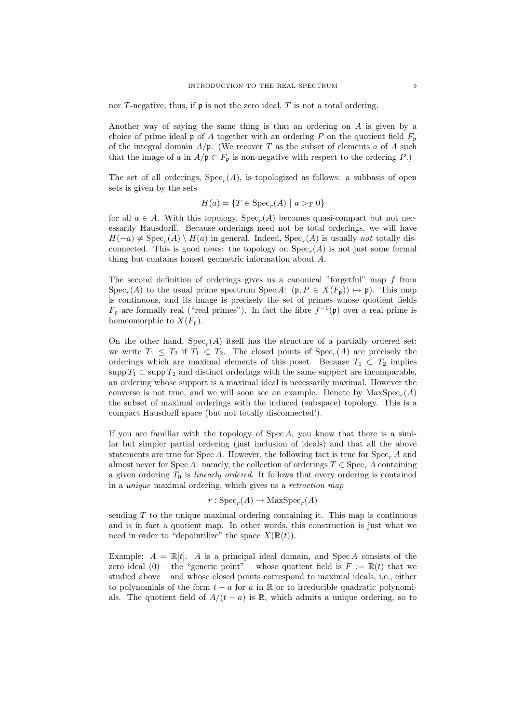nor T-negative; thus, if  $\mathfrak p$  is not the zero ideal, T is not a total ordering.

Another way of saying the same thing is that an ordering on A is given by a choice of prime ideal  $\mathfrak p$  of A together with an ordering P on the quotient field  $F_{\mathfrak p}$ of the integral domain  $A/\mathfrak{p}$ . (We recover T as the subset of elements a of A such that the image of a in  $A/\mathfrak{p} \subset F_{\mathfrak{p}}$  is non-negative with respect to the ordering P.)

The set of all orderings,  $Spec_r(A)$ , is topologized as follows: a subbasis of open sets is given by the sets

$$
H(a) = \{ T \in \text{Spec}_r(A) \mid a >_T 0 \}
$$

for all  $a \in A$ . With this topology,  $Spec_r(A)$  becomes quasi-compact but not necessarily Hausdorff. Because orderings need not be total orderings, we will have  $H(-a) \neq \text{Spec}_r(A) \setminus H(a)$  in general. Indeed,  $\text{Spec}_r(A)$  is usually *not* totally disconnected. This is good news: the topology on  $Spec_r(A)$  is not just some formal thing but contains honest geometric information about A.

The second definition of orderings gives us a canonical "forgetful" map f from  $Spec_r(A)$  to the usual prime spectrum  $Spec A: (\mathfrak{p}, P \in X(F_{\mathfrak{p}})) \mapsto \mathfrak{p}).$  This map is continuous, and its image is precisely the set of primes whose quotient fields  $F_{\mathfrak{p}}$  are formally real ("real primes"). In fact the fibre  $f^{-1}(\mathfrak{p})$  over a real prime is homeomorphic to  $X(F_{\mathfrak{p}})$ .

On the other hand,  $Spec_r(A)$  itself has the structure of a partially ordered set: we write  $T_1 \leq T_2$  if  $T_1 \subset T_2$ . The closed points of  $Spec_r(A)$  are precisely the orderings which are maximal elements of this poset. Because  $T_1 \subset T_2$  implies supp  $T_1 \subset \text{supp } T_2$  and distinct orderings with the same support are incomparable, an ordering whose support is a maximal ideal is necessarily maximal. However the converse is not true, and we will soon see an example. Denote by  $MaxSpec_r(A)$ the subset of maximal orderings with the induced (subspace) topology. This is a compact Hausdorff space (but not totally disconnected!).

If you are familiar with the topology of  $Spec A$ , you know that there is a similar but simpler partial ordering (just inclusion of ideals) and that all the above statements are true for Spec A. However, the following fact is true for  $\text{Spec}_r A$  and almost never for Spec A: namely, the collection of orderings  $T \in \text{Spec}_{r} A$  containing a given ordering  $T_0$  is linearly ordered. It follows that every ordering is contained in a unique maximal ordering, which gives us a retraction map

$$
r: \text{Spec}_r(A) \to \text{MaxSpec}_r(A)
$$

sending  $T$  to the unique maximal ordering containing it. This map is continuous and is in fact a quotient map. In other words, this construction is just what we need in order to "depointilize" the space  $X(\mathbb{R}(t))$ .

Example:  $A = \mathbb{R}[t]$ . A is a principal ideal domain, and Spec A consists of the zero ideal (0) – the "generic point" – whose quotient field is  $F := \mathbb{R}(t)$  that we studied above – and whose closed points correspond to maximal ideals, i.e., either to polynomials of the form  $t - a$  for a in R or to irreducible quadratic polynomials. The quotient field of  $A/(t - a)$  is R, which admits a unique ordering, so to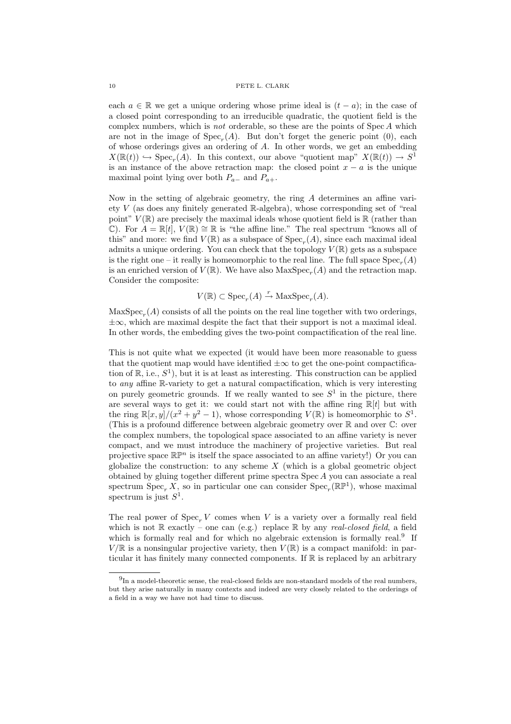each  $a \in \mathbb{R}$  we get a unique ordering whose prime ideal is  $(t - a)$ ; in the case of a closed point corresponding to an irreducible quadratic, the quotient field is the complex numbers, which is *not* orderable, so these are the points of Spec A which are not in the image of  $Spec_r(A)$ . But don't forget the generic point (0), each of whose orderings gives an ordering of  $A$ . In other words, we get an embedding  $X(\mathbb{R}(t)) \hookrightarrow \text{Spec}_r(A)$ . In this context, our above "quotient map"  $X(\mathbb{R}(t)) \to S^1$ is an instance of the above retraction map: the closed point  $x - a$  is the unique maximal point lying over both  $P_{a-}$  and  $P_{a+}$ .

Now in the setting of algebraic geometry, the ring A determines an affine variety  $V$  (as does any finitely generated  $\mathbb{R}$ -algebra), whose corresponding set of "real point"  $V(\mathbb{R})$  are precisely the maximal ideals whose quotient field is  $\mathbb{R}$  (rather than C). For  $A = \mathbb{R}[t], V(\mathbb{R}) \cong \mathbb{R}$  is "the affine line." The real spectrum "knows all of this" and more: we find  $V(\mathbb{R})$  as a subspace of  $Spec_r(A)$ , since each maximal ideal admits a unique ordering. You can check that the topology  $V(\mathbb{R})$  gets as a subspace is the right one – it really is homeomorphic to the real line. The full space  $\mathrm{Spec}_r(A)$ is an enriched version of  $V(\mathbb{R})$ . We have also  $MaxSpec_r(A)$  and the retraction map. Consider the composite:

 $V(\mathbb{R}) \subset \text{Spec}_r(A) \stackrel{r}{\rightarrow} \text{MaxSpec}_r(A).$ 

 $\text{MaxSpec}_{r}(A)$  consists of all the points on the real line together with two orderings,  $\pm\infty$ , which are maximal despite the fact that their support is not a maximal ideal. In other words, the embedding gives the two-point compactification of the real line.

This is not quite what we expected (it would have been more reasonable to guess that the quotient map would have identified  $\pm \infty$  to get the one-point compactification of  $\mathbb{R}$ , i.e.,  $S^1$ ), but it is at least as interesting. This construction can be applied to any affine R-variety to get a natural compactification, which is very interesting on purely geometric grounds. If we really wanted to see  $S<sup>1</sup>$  in the picture, there are several ways to get it: we could start not with the affine ring  $\mathbb{R}[t]$  but with the ring  $\mathbb{R}[x,y]/(x^2+y^2-1)$ , whose corresponding  $V(\mathbb{R})$  is homeomorphic to  $S^1$ . (This is a profound difference between algebraic geometry over R and over C: over the complex numbers, the topological space associated to an affine variety is never compact, and we must introduce the machinery of projective varieties. But real projective space  $\mathbb{R}\mathbb{P}^n$  is itself the space associated to an affine variety!) Or you can globalize the construction: to any scheme  $X$  (which is a global geometric object obtained by gluing together different prime spectra Spec A you can associate a real spectrum Spec<sub>r</sub> X, so in particular one can consider  $Spec_r(\mathbb{RP}^1)$ , whose maximal spectrum is just  $S^1$ .

The real power of  $Spec_{r} V$  comes when V is a variety over a formally real field which is not  $\mathbb R$  exactly – one can (e.g.) replace  $\mathbb R$  by any *real-closed field*, a field which is formally real and for which no algebraic extension is formally real.<sup>9</sup> If  $V/\mathbb{R}$  is a nonsingular projective variety, then  $V(\mathbb{R})$  is a compact manifold: in particular it has finitely many connected components. If  $\mathbb R$  is replaced by an arbitrary

 $^{9}$ In a model-theoretic sense, the real-closed fields are non-standard models of the real numbers, but they arise naturally in many contexts and indeed are very closely related to the orderings of a field in a way we have not had time to discuss.